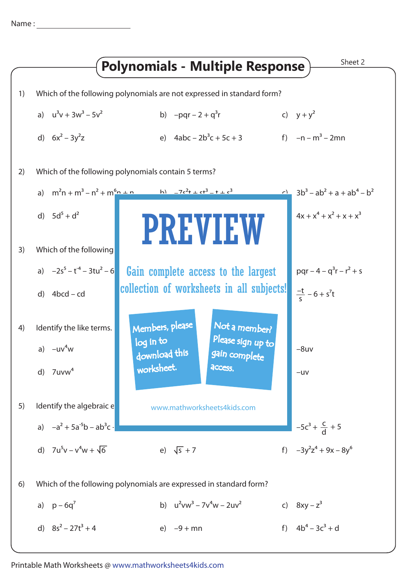